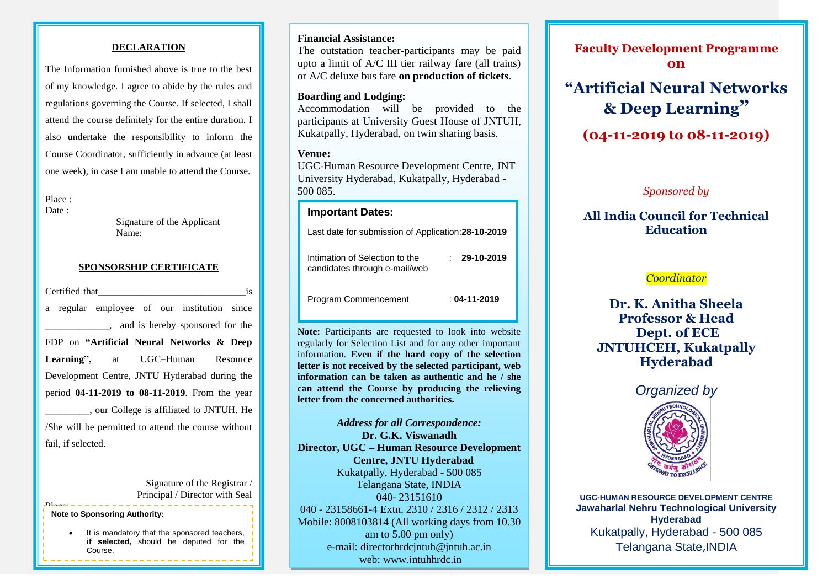#### **DECLARATION**

regulations governing the Course. If selected, I shall The Information furnished above is true to the best of my knowledge. I agree to abide by the rules and attend the course definitely for the entire duration. I also undertake the responsibility to inform the Course Coordinator, sufficiently in advance (at least one week), in case I am unable to attend the Course.

Place : Date :

> Signature of the Applicant Name:

#### **SPONSORSHIP CERTIFICATE**

| Certified that                                      |  |  | is                                        |  |
|-----------------------------------------------------|--|--|-------------------------------------------|--|
| a regular employee of our institution since         |  |  |                                           |  |
|                                                     |  |  | and is hereby sponsored for the           |  |
| FDP on "Artificial Neural Networks & Deep           |  |  |                                           |  |
| Learning", at UGC-Human Resource                    |  |  |                                           |  |
| Development Centre, JNTU Hyderabad during the       |  |  |                                           |  |
| period 04-11-2019 to 08-11-2019. From the year      |  |  |                                           |  |
|                                                     |  |  | _, our College is affiliated to JNTUH. He |  |
| /She will be permitted to attend the course without |  |  |                                           |  |
| fail, if selected.                                  |  |  |                                           |  |

Signature of the Registrar / Principal / Director with Seal

 $\frac{p_{\text{max}}}{p_{\text{max}}}$ **Note to Sponsoring Authority:** 

> It is mandatory that the sponsored teachers, **if selected,** should be deputed for the Course.

# **Financial Assistance:**

The outstation teacher-participants may be paid upto a limit of A/C III tier railway fare (all trains) or A/C deluxe bus fare **on production of tickets**.

## **Boarding and Lodging:**

Accommodation will be provided to the participants at University Guest House of JNTUH, Kukatpally, Hyderabad, on twin sharing basis.

### **Venue:**

UGC-Human Resource Development Centre, JNT University Hyderabad, Kukatpally, Hyderabad - 500 085.

## **Important Dates:**

Last date for submission of Application:**28-10-2019** Intimation of Selection to the : **29-10-2019**

| candidates through e-mail/web | ---------          |
|-------------------------------|--------------------|
| Program Commencement          | $: 04 - 11 - 2019$ |

**Note:** Participants are requested to look into website regularly for Selection List and for any other important information. **Even if the hard copy of the selection letter is not received by the selected participant, web information can be taken as authentic and he / she can attend the Course by producing the relieving letter from the concerned authorities.**

*Address for all Correspondence:*  **Dr. G.K. Viswanadh Director, UGC – Human Resource Development Centre, JNTU Hyderabad** Kukatpally, Hyderabad - 500 085 Telangana State, INDIA 040- 23151610 040 - 23158661-4 Extn. 2310 / 2316 / 2312 / 2313 Mobile: 8008103814 (All working days from 10.30 am to 5.00 pm only) e-mail: directorhrdcjntuh@jntuh.ac.in web: www.jntuhhrdc.jn.

**Faculty Development Programme on**

# **"Artificial Neural Networks & Deep Learning"**

**(04-11-2019 to 08-11-2019)**

# *Sponsored by*

# **All India Council for Technical Education**

# *Coordinator*

**Dr. K. Anitha Sheela Professor & Head Dept. of ECE JNTUHCEH, Kukatpally Hyderabad**

# *Organized by*



**UGC-HUMAN RESOURCE DEVELOPMENT CENTRE Jawaharlal Nehru Technological University Hyderabad** Kukatpally, Hyderabad - 500 085 Telangana State,INDIA